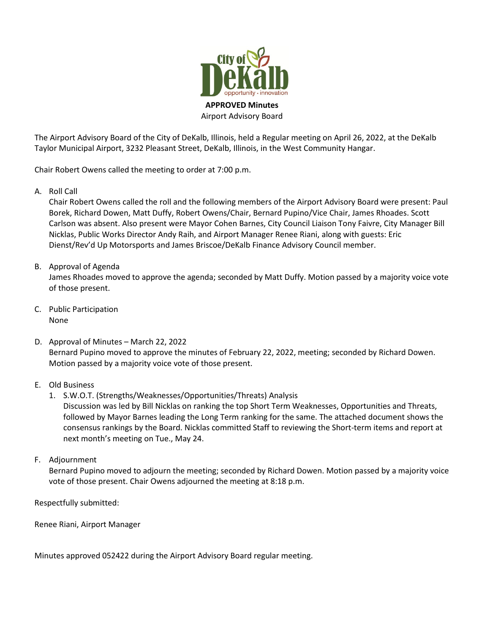

The Airport Advisory Board of the City of DeKalb, Illinois, held a Regular meeting on April 26, 2022, at the DeKalb Taylor Municipal Airport, 3232 Pleasant Street, DeKalb, Illinois, in the West Community Hangar.

Chair Robert Owens called the meeting to order at 7:00 p.m.

A. Roll Call

Chair Robert Owens called the roll and the following members of the Airport Advisory Board were present: Paul Borek, Richard Dowen, Matt Duffy, Robert Owens/Chair, Bernard Pupino/Vice Chair, James Rhoades. Scott Carlson was absent. Also present were Mayor Cohen Barnes, City Council Liaison Tony Faivre, City Manager Bill Nicklas, Public Works Director Andy Raih, and Airport Manager Renee Riani, along with guests: Eric Dienst/Rev'd Up Motorsports and James Briscoe/DeKalb Finance Advisory Council member.

B. Approval of Agenda

James Rhoades moved to approve the agenda; seconded by Matt Duffy. Motion passed by a majority voice vote of those present.

- C. Public Participation None
- D. Approval of Minutes March 22, 2022 Bernard Pupino moved to approve the minutes of February 22, 2022, meeting; seconded by Richard Dowen. Motion passed by a majority voice vote of those present.
- E. Old Business
	- 1. S.W.O.T. (Strengths/Weaknesses/Opportunities/Threats) Analysis Discussion was led by Bill Nicklas on ranking the top Short Term Weaknesses, Opportunities and Threats, followed by Mayor Barnes leading the Long Term ranking for the same. The attached document shows the consensus rankings by the Board. Nicklas committed Staff to reviewing the Short-term items and report at next month's meeting on Tue., May 24.
- F. Adjournment

Bernard Pupino moved to adjourn the meeting; seconded by Richard Dowen. Motion passed by a majority voice vote of those present. Chair Owens adjourned the meeting at 8:18 p.m.

Respectfully submitted:

Renee Riani, Airport Manager

Minutes approved 052422 during the Airport Advisory Board regular meeting.